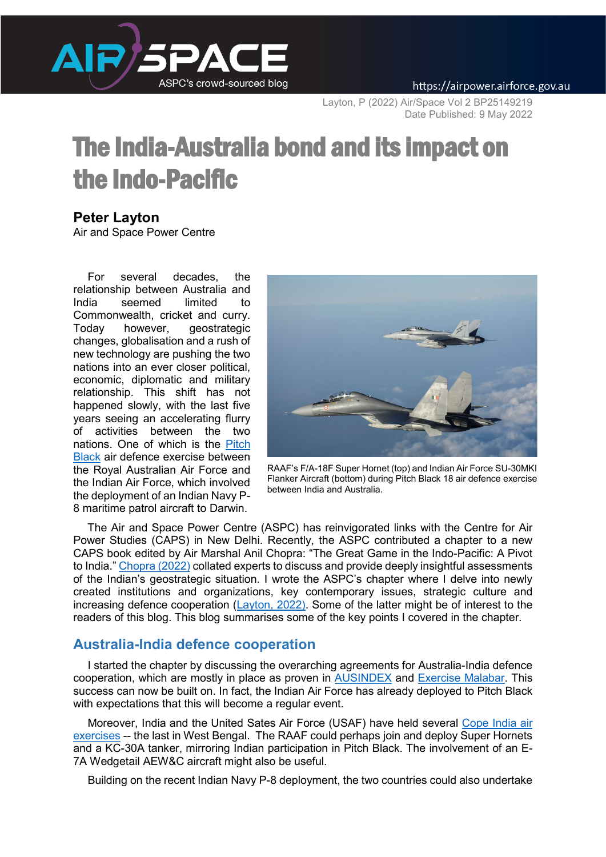

Layton, P (2022) Air/Space Vol 2 BP25149219 Date Published: 9 May 2022

# The India-Australia bond and its impact on the Indo-Pacific

# **Peter Layton**

Air and Space Power Centre

For several decades, the relationship between Australia and India seemed limited to Commonwealth, cricket and curry. Today however, geostrategic changes, globalisation and a rush of new technology are pushing the two nations into an ever closer political, economic, diplomatic and military relationship. This shift has not happened slowly, with the last five years seeing an accelerating flurry of activities between the two nations. One of which is the [Pitch](https://www.sps-aviation.com/story/?id=2255&h=IAF-Exercises-Pitch-Black)  [Black](https://www.sps-aviation.com/story/?id=2255&h=IAF-Exercises-Pitch-Black) air defence exercise between the Royal Australian Air Force and the Indian Air Force, which involved the [deployment of an Indian Navy P-](https://news.defence.gov.au/media/media-releases/india-deploys-maritime-patrol-aircraft-darwin)[8](https://news.defence.gov.au/media/media-releases/india-deploys-maritime-patrol-aircraft-darwin) maritime patrol aircraft to Darwin.



RAAF's F/A-18F Super Hornet (top) and Indian Air Force SU-30MKI Flanker Aircraft (bottom) during Pitch Black 18 air defence exercise between India and Australia.

The Air and Space Power Centre (ASPC) has reinvigorated links with the [Centre for Air](https://capsindia.org/)  [Power Studies \(CAPS\)](https://capsindia.org/) in New Delhi. Recently, the ASPC contributed a chapter to a new CAPS book edited by Air Marshal Anil Chopra: "The Great Game in the Indo-Pacific: A Pivot to India." [Chopra \(2022\)](https://www.amazon.in/Great-Game-Indo-Pacific-Pivot-India/dp/9391490387) collated experts to discuss and provide deeply insightful assessments of the Indian's geostrategic situation. I wrote the ASPC's chapter where I delve into newly created institutions and organizations, key contemporary issues, strategic culture and increasing defence cooperation  $(\underline{Lawton}, 2022)$ . Some of the latter might be of interest to the readers of this blog. This blog summarises some of the key points I covered in the chapter.

## **Australia-India defence cooperation**

I started the chapter by discussing the overarching agreements for Australia-India defence cooperation, which are mostly in place as proven in [AUSINDEX](https://news.defence.gov.au/media/media-releases/nt-hosts-india-maritime-exercise#:%7E:text=This%20week%20the%20Northern%20Territory,and%20secure%20Indo%2DPacific%20region) and [Exercise Malabar.](https://news.defence.gov.au/media/media-releases/australia-back-indo-pacific-maritime-exercise-malabar) This success can now be built on. In fact, the Indian Air Force has already deployed to Pitch Black with expectations that this will become a regular event.

Moreover, India and the United Sates Air Force (USAF) have held several [Cope India air](https://economictimes.indiatimes.com/news/defence/indian-us-air-force-learn-from-each-other-at-cope-india-2018/articleshow/67037763.cms)  [exercises](https://economictimes.indiatimes.com/news/defence/indian-us-air-force-learn-from-each-other-at-cope-india-2018/articleshow/67037763.cms) -- the last in West Bengal. The RAAF could perhaps join and deploy Super Hornets and a KC-30A tanker, mirroring Indian participation in Pitch Black. The involvement of an E-7A Wedgetail AEW&C aircraft might also be useful.

Building on the recent Indian Navy P-8 deployment, the two countries could also undertake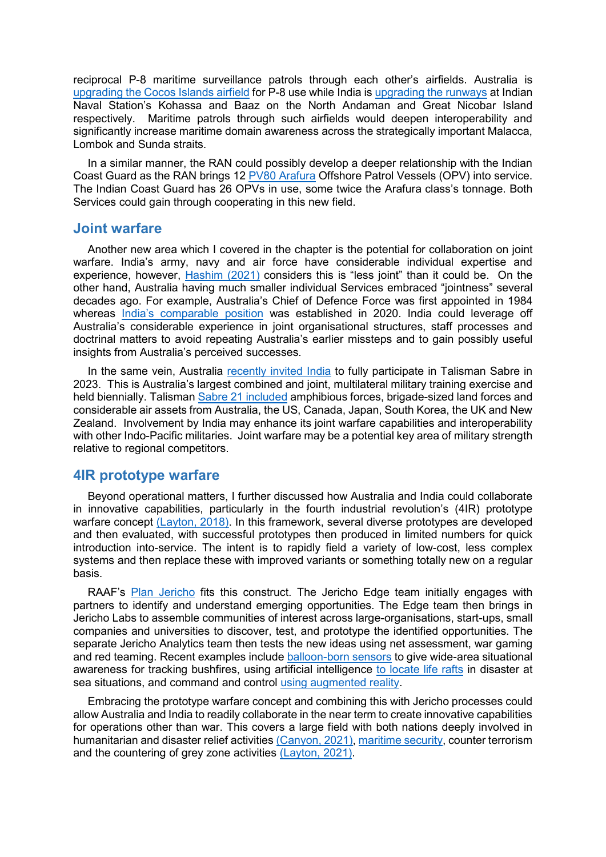reciprocal P-8 maritime surveillance patrols through each other's airfields. Australia is [upgrading the Cocos Islands airfield](https://www.minister.defence.gov.au/minister/melissa-price/media-releases/contract-awarded-cocos-keeling-islands-runway-upgrade) for P-8 use while India is [upgrading the runways](https://www.business-standard.com/article/defence/new-naval-base-in-andamans-boosts-military-posture-in-indian-ocean-119012501573_1.html) at Indian Naval Station's Kohassa and Baaz on the North Andaman and Great Nicobar Island respectively. Maritime patrols through such airfields would deepen interoperability and significantly increase maritime domain awareness across the strategically important Malacca, Lombok and Sunda straits.

In a similar manner, the RAN could possibly develop a deeper relationship with the Indian Coast Guard as the RAN brings 12 [PV80 Arafura](https://www.navalnews.com/naval-news/2021/12/australia-launches-first-of-12-arafura-class-opvs/) Offshore Patrol Vessels (OPV) into service. The Indian Coast Guard has 26 OPVs in use, some twice the Arafura class's tonnage. Both Services could gain through cooperating in this new field.

#### **Joint warfare**

Another new area which I covered in the chapter is the potential for collaboration on joint warfare. India's army, navy and air force have considerable individual expertise and experience, however, [Hashim \(2021\)](https://defence.gov.au/adc/Publications/AJDSS/documents/volume3-number2/Can-Asians-fight-Organisational-cultural-impediments-to-the-conduct-of-Asian-high-tech-conventional-warfare.pdf) considers this is "less joint" than it could be. On the other hand, Australia having much smaller individual Services embraced "jointness" several decades ago. For example, Australia's Chief of Defence Force was first appointed in 1984 whereas [India's comparable position](https://theprint.in/defence/gen-bipin-rawat-is-first-cds-in-charge-of-jointness-defence-diplomacy-reforms/339959/) was established in 2020. India could leverage off Australia's considerable experience in joint organisational structures, staff processes and doctrinal matters to avoid repeating Australia's earlier missteps and to gain possibly useful insights from Australia's perceived successes.

In the same vein, Australia [recently invited India](https://www.thehindu.com/news/national/australia-keen-india-joins-exercise-talisman-sabre/article35708489.ece) to fully participate in Talisman Sabre in 2023. This is Australia's largest combined and joint, multilateral military training exercise and held biennially. Talisman [Sabre 21 included](https://www.defence.gov.au/exercises/talisman-sabre-21/participants) amphibious forces, brigade-sized land forces and considerable air assets from Australia, the US, Canada, Japan, South Korea, the UK and New Zealand. Involvement by India may enhance its joint warfare capabilities and interoperability with other Indo-Pacific militaries. Joint warfare may be a potential key area of military strength relative to regional competitors.

## **4IR prototype warfare**

Beyond operational matters, I further discussed how Australia and India could collaborate in innovative capabilities, particularly in the fourth industrial revolution's (4IR) prototype warfare concept [\(Layton, 2018\).](https://airpower.airforce.gov.au/publications/prototype-warfare-and-fourth-industrial-age) In this framework, several diverse prototypes are developed and then evaluated, with successful prototypes then produced in limited numbers for quick introduction into-service. The intent is to rapidly field a variety of low-cost, less complex systems and then replace these with improved variants or something totally new on a regular basis.

RAAF's [Plan Jericho](https://www.airforce.gov.au/our-mission/plan-jericho/jericho-implementation-model) fits this construct. The Jericho Edge team initially engages with partners to identify and understand emerging opportunities. The Edge team then brings in Jericho Labs to assemble communities of interest across large-organisations, start-ups, small companies and universities to discover, test, and prototype the identified opportunities. The separate Jericho Analytics team then tests the new ideas using net assessment, war gaming and red teaming. Recent examples include [balloon-born sensors](https://news.defence.gov.au/technology/balloons-give-raaf-cutting-edge-aerospace) to give wide-area situational awareness for tracking bushfires, using artificial intelligence [to locate life rafts](https://www.airforce.gov.au/news-and-events/news/ai-search-transform-search-rescue) in disaster at sea situations, and command and control [using augmented reality.](https://news.defence.gov.au/capability/new-way-looking-battlespaces)

Embracing the prototype warfare concept and combining this with Jericho processes could allow Australia and India to readily collaborate in the near term to create innovative capabilities for operations other than war. This covers a large field with both nations deeply involved in humanitarian and disaster relief activities [\(Canyon, 2021\),](https://apcss.org/nexus_articles/india-leading-international-hadr-cooperation-in-south-asia/) [maritime security,](https://www.dfat.gov.au/geo/india/joint-declaration-shared-vision-maritime-cooperation-indo-pacific-between-republic-india-and-government-australia) counter terrorism and the countering of grey zone activities [\(Layton, 2021\).](https://airpower.airforce.gov.au/publications/chinas-enduring-grey-zone-challenge)